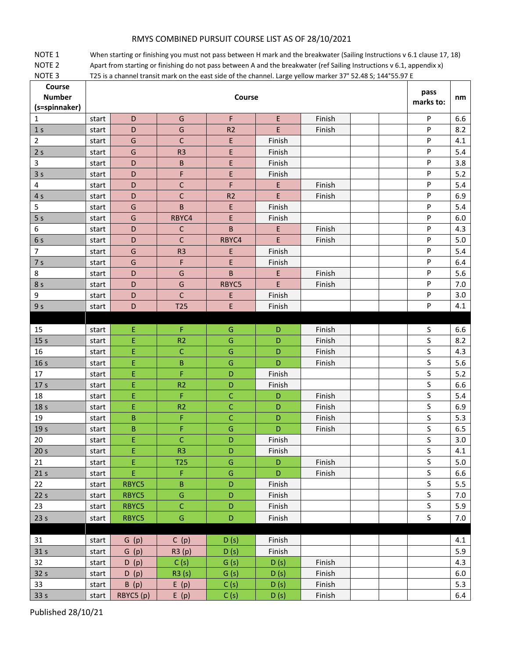## RMYS COMBINED PURSUIT COURSE LIST AS OF 28/10/2021

NOTE 1 When starting or finishing you must not pass between H mark and the breakwater (Sailing Instructions v 6.1 clause 17, 18) NOTE 2 Apart from starting or finishing do not pass between A and the breakwater (ref Sailing Instructions v 6.1, appendix x) NOTE 3 T25 is a channel transit mark on the east side of the channel. Large yellow marker 37° 52.48 S; 144°55.97 E

| Course<br><b>Number</b><br>(s=spinnaker) | Course |             |                |                |        |        | pass<br>marks to: | nm          |       |
|------------------------------------------|--------|-------------|----------------|----------------|--------|--------|-------------------|-------------|-------|
| 1                                        | start  | D           | G              | F              | E      | Finish |                   | P           | 6.6   |
| 1 <sub>s</sub>                           | start  | D           | G              | R <sub>2</sub> | E      | Finish |                   | P           | 8.2   |
| $\mathbf 2$                              | start  | G           | $\mathsf{C}$   | E              | Finish |        |                   | P           | 4.1   |
| 2s                                       | start  | G           | R <sub>3</sub> | E              | Finish |        |                   | P           | 5.4   |
| 3                                        | start  | D           | B              | E              | Finish |        |                   | P           | 3.8   |
| 3 <sub>s</sub>                           | start  | D           | F              | E              | Finish |        |                   | P           | 5.2   |
| 4                                        | start  | D           | C              | F              | E      | Finish |                   | P           | 5.4   |
| 4 <sub>s</sub>                           | start  | D           | C              | R <sub>2</sub> | E      | Finish |                   | P           | 6.9   |
| 5                                        | start  | G           | B              | E              | Finish |        |                   | P           | 5.4   |
| 5 <sub>s</sub>                           | start  | G           | RBYC4          | E              | Finish |        |                   | P           | 6.0   |
| 6                                        | start  | D           | $\mathsf{C}$   | B              | E      | Finish |                   | P           | 4.3   |
| 6 s                                      | start  | D           | $\mathsf C$    | RBYC4          | E      | Finish |                   | P           | 5.0   |
| $\overline{7}$                           | start  | G           | R <sub>3</sub> | E              | Finish |        |                   | P           | 5.4   |
| 7 <sub>s</sub>                           | start  | G           | F              | E              | Finish |        |                   | P           | 6.4   |
| 8                                        | start  | D           | G              | B              | E      | Finish |                   | P           | 5.6   |
| 8 s                                      | start  | D           | G              | RBYC5          | E      | Finish |                   | P           | 7.0   |
| 9                                        | start  | D           | $\mathsf{C}$   | E              | Finish |        |                   | P           | 3.0   |
| 9 <sub>s</sub>                           | start  | D           | <b>T25</b>     | E              | Finish |        |                   | P           | 4.1   |
|                                          |        |             |                |                |        |        |                   |             |       |
| 15                                       | start  | Ε           | F              | G              | D      | Finish |                   | S           | 6.6   |
| 15 <sub>s</sub>                          | start  | Ė           | R <sub>2</sub> | G              | D      | Finish |                   | S           | 8.2   |
| 16                                       | start  | E           | C              | G              | D      | Finish |                   | S           | 4.3   |
| 16 <sub>s</sub>                          | start  | E           | B              | ${\mathsf G}$  | D      | Finish |                   | S           | 5.6   |
| 17                                       | start  | E           | F              | D              | Finish |        |                   | $\mathsf S$ | 5.2   |
| 17 <sub>s</sub>                          | start  | E           | R <sub>2</sub> | D              | Finish |        |                   | S           | 6.6   |
| 18                                       | start  | Ε           | F              | C              | D      | Finish |                   | S           | 5.4   |
| 18 s                                     | start  | Ε           | R <sub>2</sub> | C              | D      | Finish |                   | S           | 6.9   |
| 19                                       | start  | B           | F              | $\mathsf{C}$   | D      | Finish |                   | S           | 5.3   |
| 19 <sub>s</sub>                          | start  | $\mathsf B$ | F              | G              | D      | Finish |                   | $\mathsf S$ | 6.5   |
| 20                                       | start  | Ė           | $\mathsf{C}$   | D              | Finish |        |                   | S           | 3.0   |
| 20 <sub>s</sub>                          | start  | E           | R <sub>3</sub> | D              | Finish |        |                   | S           | 4.1   |
| 21                                       | start  | ${\sf E}$   | <b>T25</b>     | ${\mathsf G}$  | D      | Finish |                   | S           | $5.0$ |
| 21 <sub>s</sub>                          | start  | E           | F              | G              | D      | Finish |                   | S           | 6.6   |
| 22                                       | start  | RBYC5       | B              | D              | Finish |        |                   | S           | 5.5   |
| 22 <sub>s</sub>                          | start  | RBYC5       | ${\mathsf G}$  | D              | Finish |        |                   | S           | 7.0   |
| 23                                       | start  | RBYC5       | $\mathsf C$    | D              | Finish |        |                   | S           | 5.9   |
| 23 <sub>s</sub>                          | start  | RBYC5       | G              | D              | Finish |        |                   | S           | 7.0   |
|                                          |        |             |                |                |        |        |                   |             |       |
| 31                                       | start  | G(p)        | C(p)           | D(s)           | Finish |        |                   |             | 4.1   |
| 31 <sub>s</sub>                          | start  | G(p)        | R3(p)          | D(s)           | Finish |        |                   |             | 5.9   |
| 32                                       | start  | D(p)        | C(s)           | G(s)           | D(s)   | Finish |                   |             | 4.3   |
| 32 <sub>s</sub>                          | start  | D(p)        | R3 (s)         | G(s)           | D(s)   | Finish |                   |             | 6.0   |
| 33                                       | start  | B(p)        | E(p)           | C(s)           | D(s)   | Finish |                   |             | 5.3   |
| 33 s                                     | start  | RBYC5 (p)   | E(p)           | C(s)           | D(s)   | Finish |                   |             | 6.4   |

Published 28/10/21